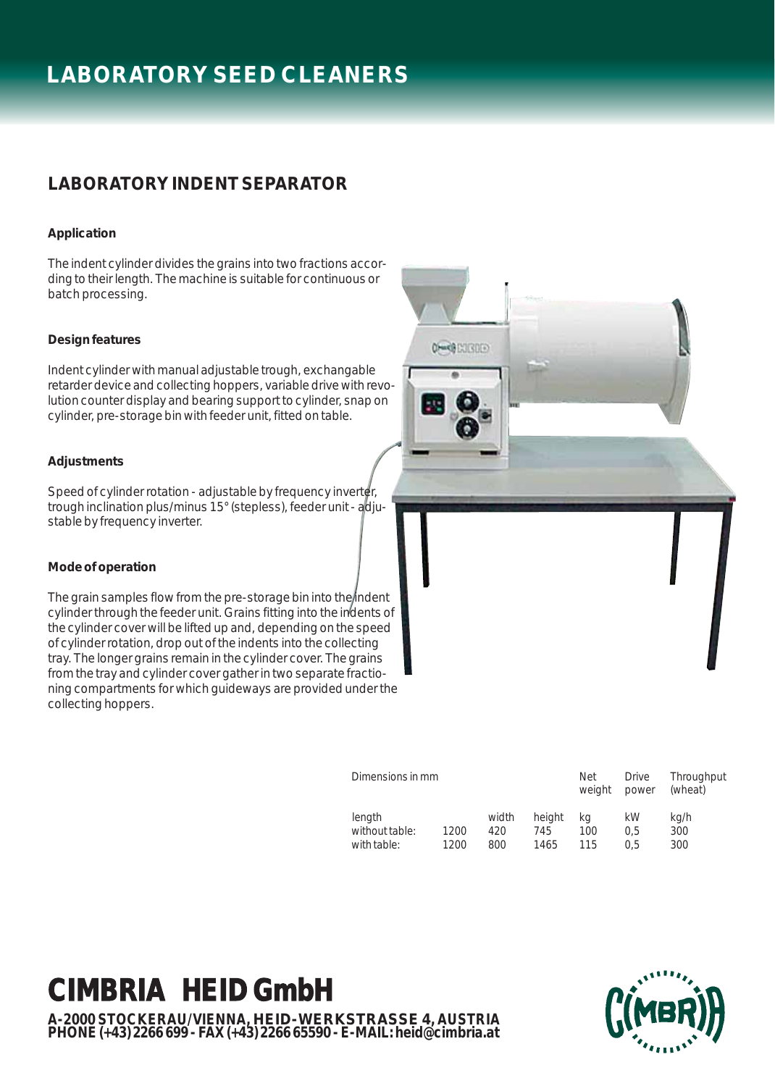# **LABORATORY SEED CLEANERS**

### **LABORATORY INDENT SEPARATOR**

### **Application**

The indent cylinder divides the grains into two fractions according to their length. The machine is suitable for continuous or batch processing.

### **Design features**

Indent cylinder with manual adjustable trough, exchangable retarder device and collecting hoppers, variable drive with revolution counter display and bearing support to cylinder, snap on cylinder, pre-storage bin with feeder unit, fitted on table.

### **Adjustments**

Speed of cylinder rotation - adjustable by frequency inverter, trough inclination plus/minus 15° (stepless), feeder unit - adjustable by frequency inverter.

### **Mode of operation**

The grain samples flow from the pre-storage bin into the indent cylinder through the feeder unit. Grains fitting into the indents of the cylinder cover will be lifted up and, depending on the speed of cylinder rotation, drop out of the indents into the collecting tray. The longer grains remain in the cylinder cover. The grains from the tray and cylinder cover gather in two separate fractioning compartments for which guideways are provided under the collecting hoppers.

| Dimensions in mm                        |              |                     |                       | Net<br>weight    | <b>Drive</b><br>power | Throughput<br>(wheat) |
|-----------------------------------------|--------------|---------------------|-----------------------|------------------|-----------------------|-----------------------|
| length<br>without table:<br>with table: | 1200<br>1200 | width<br>420<br>800 | height<br>745<br>1465 | ka<br>100<br>115 | kW<br>0.5<br>0.5      | kg/h<br>300<br>300    |

**CHARGE EXECUTIVE** 

# **CIMBRIA HEID GmbH**

**A-2000 STOCKERAU/VIENNA, HEID-WERKSTRASSE 4, AUSTRIA PHONE (+43) 2266 699 - FAX (+43) 2266 65590 - E-MAIL: heid@cimbria.at**